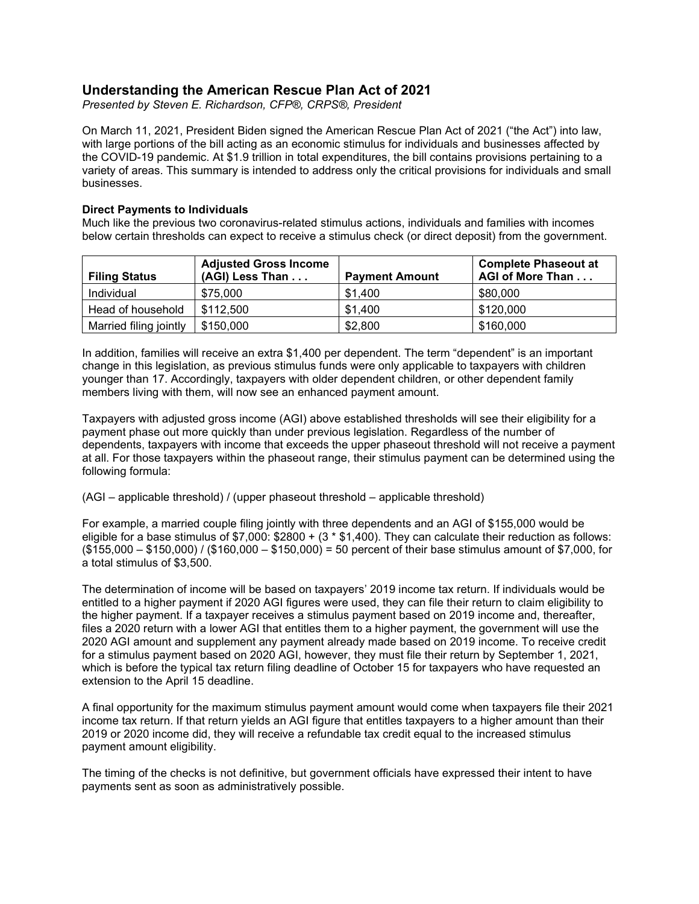# **Understanding the American Rescue Plan Act of 2021**

*Presented by Steven E. Richardson, CFP®, CRPS®, President*

On March 11, 2021, President Biden signed the American Rescue Plan Act of 2021 ("the Act") into law, with large portions of the bill acting as an economic stimulus for individuals and businesses affected by the COVID-19 pandemic. At \$1.9 trillion in total expenditures, the bill contains provisions pertaining to a variety of areas. This summary is intended to address only the critical provisions for individuals and small businesses.

## **Direct Payments to Individuals**

Much like the previous two coronavirus-related stimulus actions, individuals and families with incomes below certain thresholds can expect to receive a stimulus check (or direct deposit) from the government.

| <b>Filing Status</b>   | <b>Adjusted Gross Income</b><br>(AGI) Less Than | <b>Payment Amount</b> | <b>Complete Phaseout at</b><br>AGI of More Than |
|------------------------|-------------------------------------------------|-----------------------|-------------------------------------------------|
| Individual             | \$75,000                                        | \$1,400               | \$80,000                                        |
| Head of household      | \$112.500                                       | \$1,400               | \$120,000                                       |
| Married filing jointly | \$150,000                                       | \$2,800               | \$160,000                                       |

In addition, families will receive an extra \$1,400 per dependent. The term "dependent" is an important change in this legislation, as previous stimulus funds were only applicable to taxpayers with children younger than 17. Accordingly, taxpayers with older dependent children, or other dependent family members living with them, will now see an enhanced payment amount.

Taxpayers with adjusted gross income (AGI) above established thresholds will see their eligibility for a payment phase out more quickly than under previous legislation. Regardless of the number of dependents, taxpayers with income that exceeds the upper phaseout threshold will not receive a payment at all. For those taxpayers within the phaseout range, their stimulus payment can be determined using the following formula:

(AGI – applicable threshold) / (upper phaseout threshold – applicable threshold)

For example, a married couple filing jointly with three dependents and an AGI of \$155,000 would be eligible for a base stimulus of  $$7,000: $2800 + (3 * $1,400)$ . They can calculate their reduction as follows: (\$155,000 – \$150,000) / (\$160,000 – \$150,000) = 50 percent of their base stimulus amount of \$7,000, for a total stimulus of \$3,500.

The determination of income will be based on taxpayers' 2019 income tax return. If individuals would be entitled to a higher payment if 2020 AGI figures were used, they can file their return to claim eligibility to the higher payment. If a taxpayer receives a stimulus payment based on 2019 income and, thereafter, files a 2020 return with a lower AGI that entitles them to a higher payment, the government will use the 2020 AGI amount and supplement any payment already made based on 2019 income. To receive credit for a stimulus payment based on 2020 AGI, however, they must file their return by September 1, 2021, which is before the typical tax return filing deadline of October 15 for taxpayers who have requested an extension to the April 15 deadline.

A final opportunity for the maximum stimulus payment amount would come when taxpayers file their 2021 income tax return. If that return yields an AGI figure that entitles taxpayers to a higher amount than their 2019 or 2020 income did, they will receive a refundable tax credit equal to the increased stimulus payment amount eligibility.

The timing of the checks is not definitive, but government officials have expressed their intent to have payments sent as soon as administratively possible.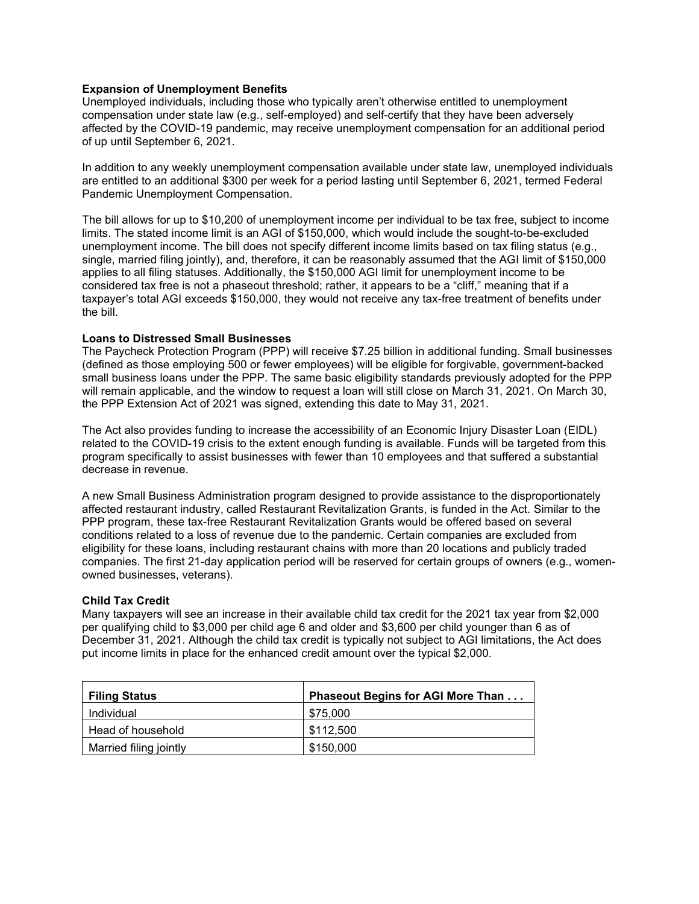# **Expansion of Unemployment Benefits**

Unemployed individuals, including those who typically aren't otherwise entitled to unemployment compensation under state law (e.g., self-employed) and self-certify that they have been adversely affected by the COVID-19 pandemic, may receive unemployment compensation for an additional period of up until September 6, 2021.

In addition to any weekly unemployment compensation available under state law, unemployed individuals are entitled to an additional \$300 per week for a period lasting until September 6, 2021, termed Federal Pandemic Unemployment Compensation.

The bill allows for up to \$10,200 of unemployment income per individual to be tax free, subject to income limits. The stated income limit is an AGI of \$150,000, which would include the sought-to-be-excluded unemployment income. The bill does not specify different income limits based on tax filing status (e.g., single, married filing jointly), and, therefore, it can be reasonably assumed that the AGI limit of \$150,000 applies to all filing statuses. Additionally, the \$150,000 AGI limit for unemployment income to be considered tax free is not a phaseout threshold; rather, it appears to be a "cliff," meaning that if a taxpayer's total AGI exceeds \$150,000, they would not receive any tax-free treatment of benefits under the bill.

# **Loans to Distressed Small Businesses**

The Paycheck Protection Program (PPP) will receive \$7.25 billion in additional funding. Small businesses (defined as those employing 500 or fewer employees) will be eligible for forgivable, government-backed small business loans under the PPP. The same basic eligibility standards previously adopted for the PPP will remain applicable, and the window to request a loan will still close on March 31, 2021. On March 30, the PPP Extension Act of 2021 was signed, extending this date to May 31, 2021.

The Act also provides funding to increase the accessibility of an Economic Injury Disaster Loan (EIDL) related to the COVID-19 crisis to the extent enough funding is available. Funds will be targeted from this program specifically to assist businesses with fewer than 10 employees and that suffered a substantial decrease in revenue.

A new Small Business Administration program designed to provide assistance to the disproportionately affected restaurant industry, called Restaurant Revitalization Grants, is funded in the Act. Similar to the PPP program, these tax-free Restaurant Revitalization Grants would be offered based on several conditions related to a loss of revenue due to the pandemic. Certain companies are excluded from eligibility for these loans, including restaurant chains with more than 20 locations and publicly traded companies. The first 21-day application period will be reserved for certain groups of owners (e.g., womenowned businesses, veterans).

## **Child Tax Credit**

Many taxpayers will see an increase in their available child tax credit for the 2021 tax year from \$2,000 per qualifying child to \$3,000 per child age 6 and older and \$3,600 per child younger than 6 as of December 31, 2021. Although the child tax credit is typically not subject to AGI limitations, the Act does put income limits in place for the enhanced credit amount over the typical \$2,000.

| <b>Filing Status</b>   | <b>Phaseout Begins for AGI More Than </b> |  |
|------------------------|-------------------------------------------|--|
| Individual             | \$75,000                                  |  |
| Head of household      | \$112,500                                 |  |
| Married filing jointly | \$150,000                                 |  |